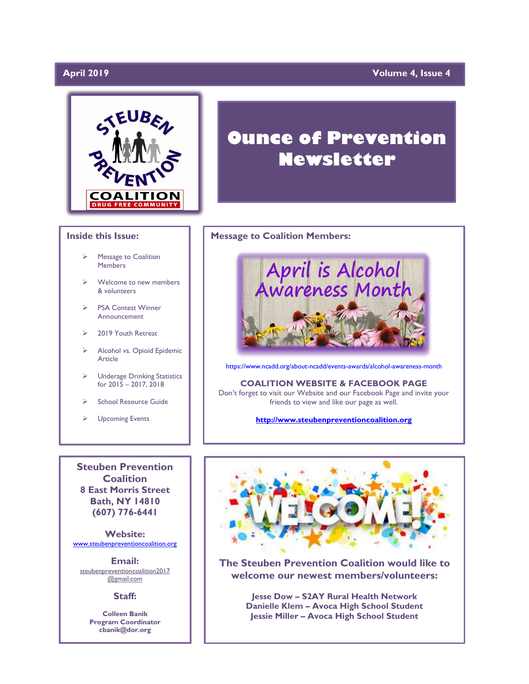# April 2019

# **April 2019 Volume 4, Issue 4**



### **Inside this Issue:**

- ➢ Message to Coalition Members
- Welcome to new members & volunteers
- ➢ PSA Contest Winner Announcement
- ➢ 2019 Youth Retreat
- ➢ Alcohol vs. Opioid Epidemic Article
- ➢ Underage Drinking Statistics for 2015 – 2017, 2018
- ➢ School Resource Guide
- ➢ Upcoming Events

**Steuben Prevention Coalition 8 East Morris Street Bath, NY 14810 (607) 776-6441**

**Website:**  [www.steubenpreventioncoalition.org](http://www.steubenpreventioncoalition.org/)

**Email:**  steubenpreventioncoalition2017 @gmail.com

#### **Staff:**

**Colleen Banik Program Coordinator cbanik@dor.org**

# **Ounce of Prevention Newsletter**

### **Message to Coalition Members:**



<https://www.ncadd.org/about-ncadd/events-awards/alcohol-awareness-month>

**COALITION WEBSITE & FACEBOOK PAGE** Don't forget to visit our Website and our Facebook Page and invite your friends to view and like our page as well.

**[http://www.steubenpreventioncoalition.org](http://www.steubenpreventioncoalition.org/)**



**The Steuben Prevention Coalition would like to welcome our newest members/volunteers:**

> **Jesse Dow – S2AY Rural Health Network Danielle Klem – Avoca High School Student Jessie Miller – Avoca High School Student**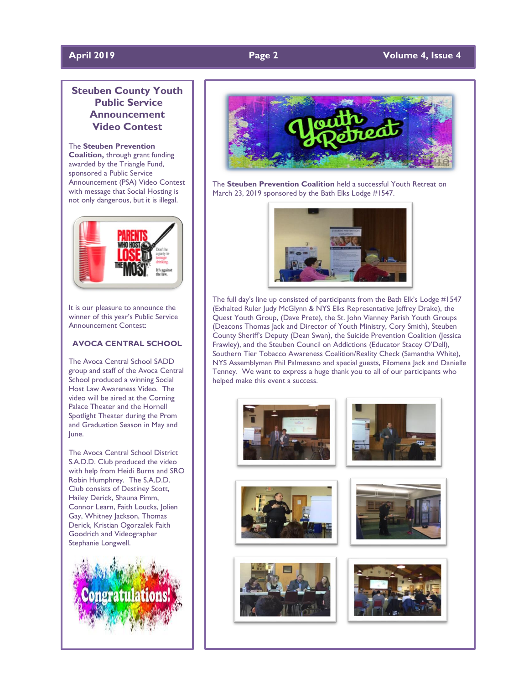# **April 2019 Page 2 Volume 4, Issue 4**

# **Steuben County Youth Public Service Announcement Video Contest**

The **Steuben Prevention Coalition,** through grant funding awarded by the Triangle Fund, sponsored a Public Service Announcement (PSA) Video Contest with message that Social Hosting is not only dangerous, but it is illegal.



It is our pleasure to announce the winner of this year's Public Service Announcement Contest:

# **AVOCA CENTRAL SCHOOL**

The Avoca Central School SADD group and staff of the Avoca Central School produced a winning Social Host Law Awareness Video. The video will be aired at the Corning Palace Theater and the Hornell Spotlight Theater during the Prom and Graduation Season in May and June.

The Avoca Central School District S.A.D.D. Club produced the video with help from Heidi Burns and SRO Robin Humphrey. The S.A.D.D. Club consists of Destiney Scott, Hailey Derick, Shauna Pimm, Connor Learn, Faith Loucks, Jolien Gay, Whitney Jackson, Thomas Derick, Kristian Ogorzalek Faith Goodrich and Videographer Stephanie Longwell.





The **Steuben Prevention Coalition** held a successful Youth Retreat on March 23, 2019 sponsored by the Bath Elks Lodge #1547.



The full day's line up consisted of participants from the Bath Elk's Lodge #1547 (Exhalted Ruler Judy McGlynn & NYS Elks Representative Jeffrey Drake), the Quest Youth Group, (Dave Prete), the St. John Vianney Parish Youth Groups (Deacons Thomas Jack and Director of Youth Ministry, Cory Smith), Steuben County Sheriff's Deputy (Dean Swan), the Suicide Prevention Coalition (Jessica Frawley), and the Steuben Council on Addictions (Educator Stacey O'Dell), Southern Tier Tobacco Awareness Coalition/Reality Check (Samantha White), NYS Assemblyman Phil Palmesano and special guests, Filomena Jack and Danielle Tenney. We want to express a huge thank you to all of our participants who helped make this event a success.

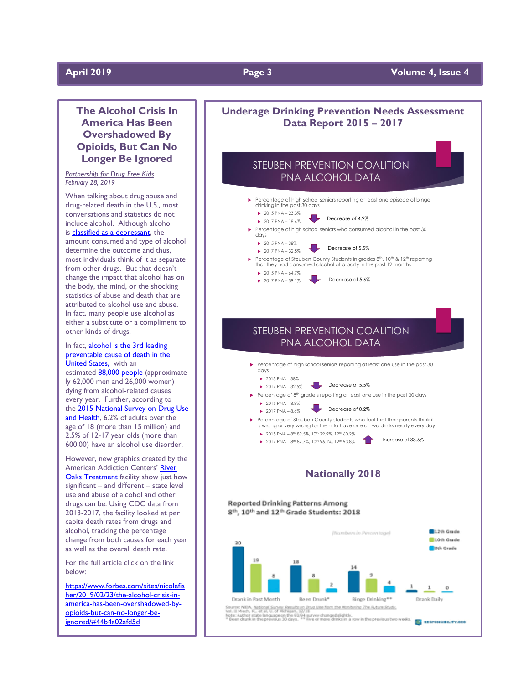# **April 2019 Page 3 Volume 4, Issue 4**

# **The Alcohol Crisis In America Has Been Overshadowed By Opioids, But Can No Longer Be Ignored**

*Partnership for Drug Free Kids February 28, 2019*

When talking about drug abuse and drug-related death in the U.S., most conversations and statistics do not include alcohol. Although alcohol is **classified as a depressant**, the amount consumed and type of alcohol determine the outcome and thus, most individuals think of it as separate from other drugs. But that doesn't change the impact that alcohol has on the body, the mind, or the shocking statistics of abuse and death that are attributed to alcohol use and abuse. In fact, many people use alcohol as either a substitute or a compliment to other kinds of drugs.

#### In fact, [alcohol is the 3rd](https://twitter.com/intent/tweet?url=http%3A%2F%2Fwww.forbes.com%2Fsites%2Fnicolefisher%2F2019%2F02%2F23%2Fthe-alcohol-crisis-in-america-has-been-overshadowed-by-opioids-but-can-no-longer-be-ignored%2F&text=%23Alcohol%20is%20the%203rd%C2%A0leading%20preventable%20cause%20of%20death%20in%20the%20United%20States.%20Does%20America%20have%20an%20alcohol%20crisis%3F) leading preventable cause of death in the [United States,](https://twitter.com/intent/tweet?url=http%3A%2F%2Fwww.forbes.com%2Fsites%2Fnicolefisher%2F2019%2F02%2F23%2Fthe-alcohol-crisis-in-america-has-been-overshadowed-by-opioids-but-can-no-longer-be-ignored%2F&text=%23Alcohol%20is%20the%203rd%C2%A0leading%20preventable%20cause%20of%20death%20in%20the%20United%20States.%20Does%20America%20have%20an%20alcohol%20crisis%3F) with an

estimated **88,000 [people](https://nccd.cdc.gov/DPH_ARDI/Default/Report.aspx?T=AAM&P=f6d7eda7-036e-4553-9968-9b17ffad620e&R=d7a9b303-48e9-4440-bf47-070a4827e1fd&M=8E1C5233-5640-4EE8-9247-1ECA7DA325B9&F=&D=)** (approximate ly 62,000 men and 26,000 women) dying from alcohol-related causes every year. Further, according to the 2015 National Survey on Drug Use [and Health,](https://www.samhsa.gov/data/sites/default/files/NSDUH-DetTabs-2015/NSDUH-DetTabs-2015/NSDUH-DetTabs-2015.htm#tab5-6a) 6.2% of adults over the age of 18 (more than 15 million) and 2.5% of 12-17 year olds (more than 600,00) have an alcohol use disorder.

However, new graphics created by the American Addiction Centers' [River](https://riveroakstreatment.com/)  **[Oaks Treatment](https://riveroakstreatment.com/)** facility show just how significant – and different – state level use and abuse of alcohol and other drugs can be. Using CDC data from 2013-2017, the facility looked at per capita death rates from drugs and alcohol, tracking the percentage change from both causes for each year as well as the overall death rate.

For the full article click on the link below:

[https://www.forbes.com/sites/nicolefis](https://www.forbes.com/sites/nicolefisher/2019/02/23/the-alcohol-crisis-in-america-has-been-overshadowed-by-opioids-but-can-no-longer-be-ignored/#44b4a02afd5d) [her/2019/02/23/the-alcohol-crisis-in](https://www.forbes.com/sites/nicolefisher/2019/02/23/the-alcohol-crisis-in-america-has-been-overshadowed-by-opioids-but-can-no-longer-be-ignored/#44b4a02afd5d)[america-has-been-overshadowed-by](https://www.forbes.com/sites/nicolefisher/2019/02/23/the-alcohol-crisis-in-america-has-been-overshadowed-by-opioids-but-can-no-longer-be-ignored/#44b4a02afd5d)[opioids-but-can-no-longer-be](https://www.forbes.com/sites/nicolefisher/2019/02/23/the-alcohol-crisis-in-america-has-been-overshadowed-by-opioids-but-can-no-longer-be-ignored/#44b4a02afd5d)[ignored/#44b4a02afd5d](https://www.forbes.com/sites/nicolefisher/2019/02/23/the-alcohol-crisis-in-america-has-been-overshadowed-by-opioids-but-can-no-longer-be-ignored/#44b4a02afd5d)

# **Underage Drinking Prevention Needs Assessment Data Report 2015 – 2017**





# STEUBEN PREVENTION COALITION PNA ALCOHOL DATA



- Percentage of 8<sup>th</sup> graders reporting at least one use in the past 30 days
	- $\blacktriangleright$  2015 PNA 8.8%  $\triangleright$  2017 PNA – 8.6% Decrease of 0.2%
- Percentage of Steuben County students who feel that their parents think it is wrong or very wrong for them to have one or two drinks nearly every day
	- ▶ 2015 PNA 8th 89.5%, 10th 79.9%, 12th 60.2% ▶ 2017 PNA – 8th 87.7%, 10th 96.1%, 12th 93.8% 1

# **Nationally 2018**

#### **Reported Drinking Patterns Among** 8th, 10th and 12th Grade Students: 2018